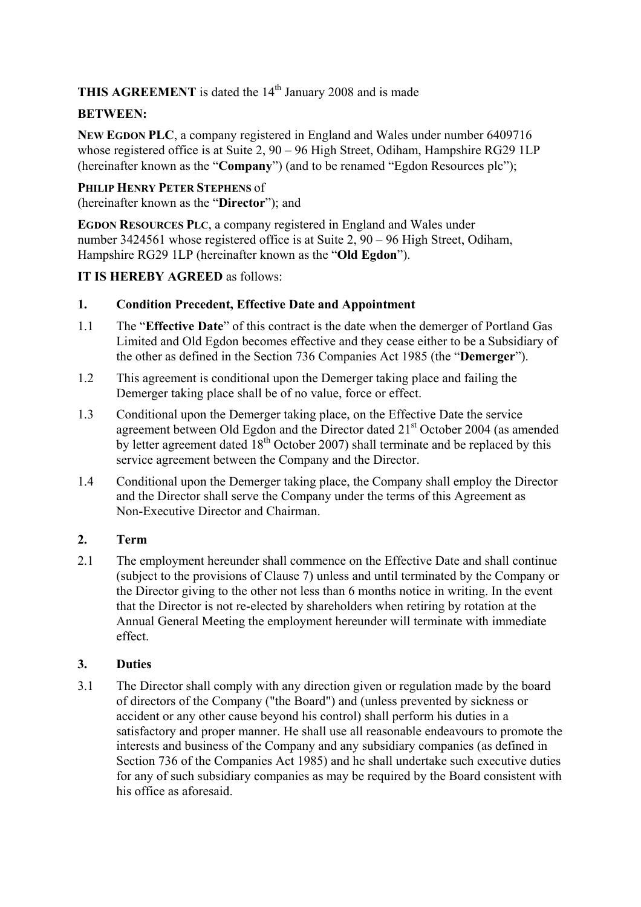**THIS AGREEMENT** is dated the 14<sup>th</sup> January 2008 and is made

## **BETWEEN:**

**NEW EGDON PLC**, a company registered in England and Wales under number 6409716 whose registered office is at Suite 2, 90 – 96 High Street, Odiham, Hampshire RG29 1LP (hereinafter known as the "**Company**") (and to be renamed "Egdon Resources plc");

#### **PHILIP HENRY PETER STEPHENS** of

(hereinafter known as the "**Director**"); and

**EGDON RESOURCES PLC**, a company registered in England and Wales under number 3424561 whose registered office is at Suite 2, 90 – 96 High Street, Odiham, Hampshire RG29 1LP (hereinafter known as the "**Old Egdon**").

### **IT IS HEREBY AGREED** as follows:

### **1. Condition Precedent, Effective Date and Appointment**

- 1.1 The "**Effective Date**" of this contract is the date when the demerger of Portland Gas Limited and Old Egdon becomes effective and they cease either to be a Subsidiary of the other as defined in the Section 736 Companies Act 1985 (the "**Demerger**").
- 1.2 This agreement is conditional upon the Demerger taking place and failing the Demerger taking place shall be of no value, force or effect.
- 1.3 Conditional upon the Demerger taking place, on the Effective Date the service agreement between Old Egdon and the Director dated 21<sup>st</sup> October 2004 (as amended by letter agreement dated 18<sup>th</sup> October 2007) shall terminate and be replaced by this service agreement between the Company and the Director.
- 1.4 Conditional upon the Demerger taking place, the Company shall employ the Director and the Director shall serve the Company under the terms of this Agreement as Non-Executive Director and Chairman.

### **2. Term**

2.1 The employment hereunder shall commence on the Effective Date and shall continue (subject to the provisions of Clause 7) unless and until terminated by the Company or the Director giving to the other not less than 6 months notice in writing. In the event that the Director is not re-elected by shareholders when retiring by rotation at the Annual General Meeting the employment hereunder will terminate with immediate effect.

### **3. Duties**

3.1 The Director shall comply with any direction given or regulation made by the board of directors of the Company ("the Board") and (unless prevented by sickness or accident or any other cause beyond his control) shall perform his duties in a satisfactory and proper manner. He shall use all reasonable endeavours to promote the interests and business of the Company and any subsidiary companies (as defined in Section 736 of the Companies Act 1985) and he shall undertake such executive duties for any of such subsidiary companies as may be required by the Board consistent with his office as aforesaid.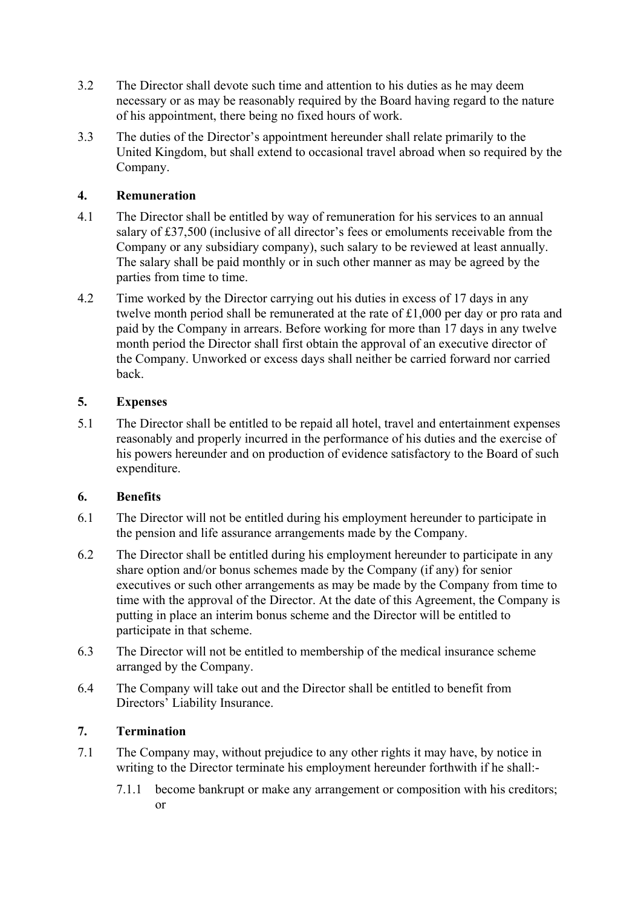- 3.2 The Director shall devote such time and attention to his duties as he may deem necessary or as may be reasonably required by the Board having regard to the nature of his appointment, there being no fixed hours of work.
- 3.3 The duties of the Director's appointment hereunder shall relate primarily to the United Kingdom, but shall extend to occasional travel abroad when so required by the Company.

## **4. Remuneration**

- 4.1 The Director shall be entitled by way of remuneration for his services to an annual salary of £37,500 (inclusive of all director's fees or emoluments receivable from the Company or any subsidiary company), such salary to be reviewed at least annually. The salary shall be paid monthly or in such other manner as may be agreed by the parties from time to time.
- 4.2 Time worked by the Director carrying out his duties in excess of 17 days in any twelve month period shall be remunerated at the rate of £1,000 per day or pro rata and paid by the Company in arrears. Before working for more than 17 days in any twelve month period the Director shall first obtain the approval of an executive director of the Company. Unworked or excess days shall neither be carried forward nor carried back.

## **5. Expenses**

5.1 The Director shall be entitled to be repaid all hotel, travel and entertainment expenses reasonably and properly incurred in the performance of his duties and the exercise of his powers hereunder and on production of evidence satisfactory to the Board of such expenditure.

## **6. Benefits**

- 6.1 The Director will not be entitled during his employment hereunder to participate in the pension and life assurance arrangements made by the Company.
- 6.2 The Director shall be entitled during his employment hereunder to participate in any share option and/or bonus schemes made by the Company (if any) for senior executives or such other arrangements as may be made by the Company from time to time with the approval of the Director. At the date of this Agreement, the Company is putting in place an interim bonus scheme and the Director will be entitled to participate in that scheme.
- 6.3 The Director will not be entitled to membership of the medical insurance scheme arranged by the Company.
- 6.4 The Company will take out and the Director shall be entitled to benefit from Directors' Liability Insurance.

## **7. Termination**

- 7.1 The Company may, without prejudice to any other rights it may have, by notice in writing to the Director terminate his employment hereunder forthwith if he shall:-
	- 7.1.1 become bankrupt or make any arrangement or composition with his creditors; or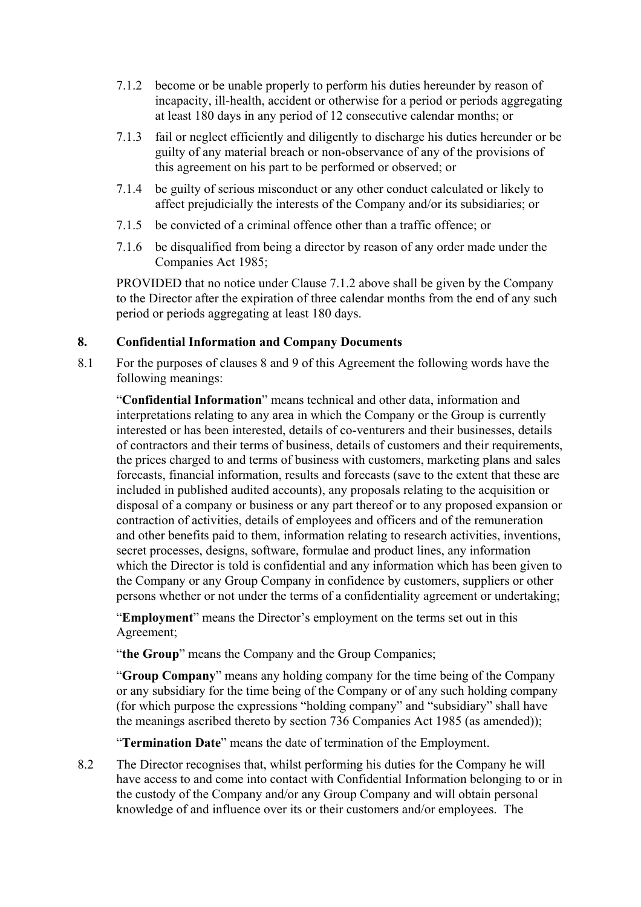- 7.1.2 become or be unable properly to perform his duties hereunder by reason of incapacity, ill-health, accident or otherwise for a period or periods aggregating at least 180 days in any period of 12 consecutive calendar months; or
- 7.1.3 fail or neglect efficiently and diligently to discharge his duties hereunder or be guilty of any material breach or non-observance of any of the provisions of this agreement on his part to be performed or observed; or
- 7.1.4 be guilty of serious misconduct or any other conduct calculated or likely to affect prejudicially the interests of the Company and/or its subsidiaries; or
- 7.1.5 be convicted of a criminal offence other than a traffic offence; or
- 7.1.6 be disqualified from being a director by reason of any order made under the Companies Act 1985;

PROVIDED that no notice under Clause 7.1.2 above shall be given by the Company to the Director after the expiration of three calendar months from the end of any such period or periods aggregating at least 180 days.

## **8. Confidential Information and Company Documents**

8.1 For the purposes of clauses 8 and 9 of this Agreement the following words have the following meanings:

"**Confidential Information**" means technical and other data, information and interpretations relating to any area in which the Company or the Group is currently interested or has been interested, details of co-venturers and their businesses, details of contractors and their terms of business, details of customers and their requirements, the prices charged to and terms of business with customers, marketing plans and sales forecasts, financial information, results and forecasts (save to the extent that these are included in published audited accounts), any proposals relating to the acquisition or disposal of a company or business or any part thereof or to any proposed expansion or contraction of activities, details of employees and officers and of the remuneration and other benefits paid to them, information relating to research activities, inventions, secret processes, designs, software, formulae and product lines, any information which the Director is told is confidential and any information which has been given to the Company or any Group Company in confidence by customers, suppliers or other persons whether or not under the terms of a confidentiality agreement or undertaking;

"**Employment**" means the Director's employment on the terms set out in this Agreement;

"**the Group**" means the Company and the Group Companies;

"**Group Company**" means any holding company for the time being of the Company or any subsidiary for the time being of the Company or of any such holding company (for which purpose the expressions "holding company" and "subsidiary" shall have the meanings ascribed thereto by section 736 Companies Act 1985 (as amended));

"**Termination Date**" means the date of termination of the Employment.

8.2 The Director recognises that, whilst performing his duties for the Company he will have access to and come into contact with Confidential Information belonging to or in the custody of the Company and/or any Group Company and will obtain personal knowledge of and influence over its or their customers and/or employees. The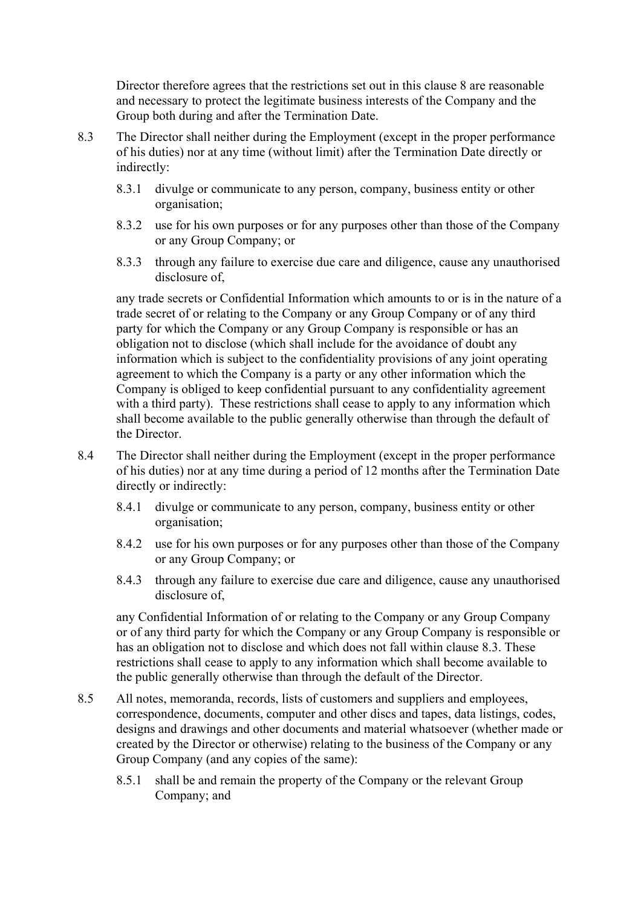Director therefore agrees that the restrictions set out in this clause 8 are reasonable and necessary to protect the legitimate business interests of the Company and the Group both during and after the Termination Date.

- 8.3 The Director shall neither during the Employment (except in the proper performance of his duties) nor at any time (without limit) after the Termination Date directly or indirectly:
	- 8.3.1 divulge or communicate to any person, company, business entity or other organisation;
	- 8.3.2 use for his own purposes or for any purposes other than those of the Company or any Group Company; or
	- 8.3.3 through any failure to exercise due care and diligence, cause any unauthorised disclosure of,

any trade secrets or Confidential Information which amounts to or is in the nature of a trade secret of or relating to the Company or any Group Company or of any third party for which the Company or any Group Company is responsible or has an obligation not to disclose (which shall include for the avoidance of doubt any information which is subject to the confidentiality provisions of any joint operating agreement to which the Company is a party or any other information which the Company is obliged to keep confidential pursuant to any confidentiality agreement with a third party). These restrictions shall cease to apply to any information which shall become available to the public generally otherwise than through the default of the Director.

- 8.4 The Director shall neither during the Employment (except in the proper performance of his duties) nor at any time during a period of 12 months after the Termination Date directly or indirectly:
	- 8.4.1 divulge or communicate to any person, company, business entity or other organisation;
	- 8.4.2 use for his own purposes or for any purposes other than those of the Company or any Group Company; or
	- 8.4.3 through any failure to exercise due care and diligence, cause any unauthorised disclosure of.

any Confidential Information of or relating to the Company or any Group Company or of any third party for which the Company or any Group Company is responsible or has an obligation not to disclose and which does not fall within clause 8.3. These restrictions shall cease to apply to any information which shall become available to the public generally otherwise than through the default of the Director.

- 8.5 All notes, memoranda, records, lists of customers and suppliers and employees, correspondence, documents, computer and other discs and tapes, data listings, codes, designs and drawings and other documents and material whatsoever (whether made or created by the Director or otherwise) relating to the business of the Company or any Group Company (and any copies of the same):
	- 8.5.1 shall be and remain the property of the Company or the relevant Group Company; and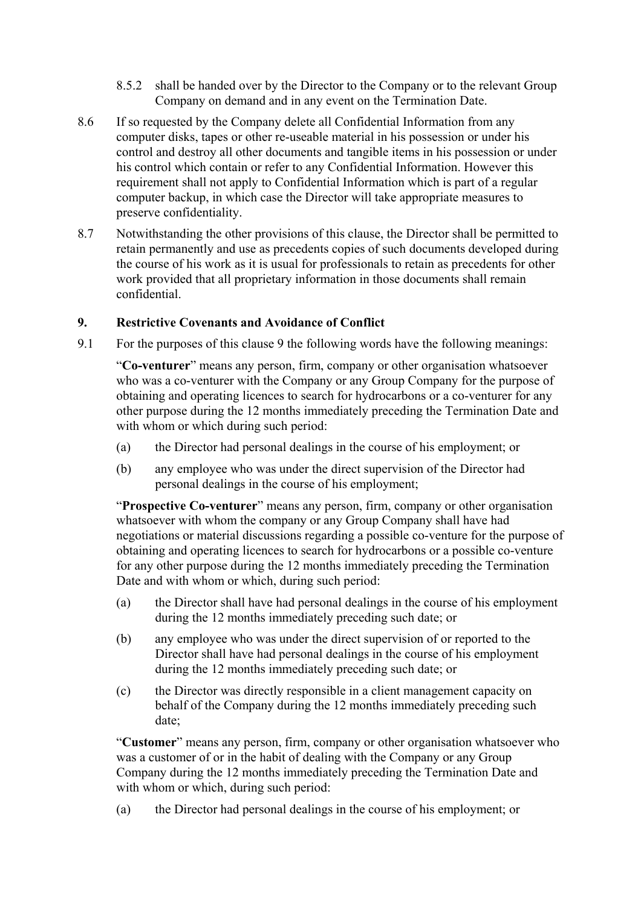- 8.5.2 shall be handed over by the Director to the Company or to the relevant Group Company on demand and in any event on the Termination Date.
- 8.6 If so requested by the Company delete all Confidential Information from any computer disks, tapes or other re-useable material in his possession or under his control and destroy all other documents and tangible items in his possession or under his control which contain or refer to any Confidential Information. However this requirement shall not apply to Confidential Information which is part of a regular computer backup, in which case the Director will take appropriate measures to preserve confidentiality.
- 8.7 Notwithstanding the other provisions of this clause, the Director shall be permitted to retain permanently and use as precedents copies of such documents developed during the course of his work as it is usual for professionals to retain as precedents for other work provided that all proprietary information in those documents shall remain confidential.

### **9. Restrictive Covenants and Avoidance of Conflict**

9.1 For the purposes of this clause 9 the following words have the following meanings:

"**Co-venturer**" means any person, firm, company or other organisation whatsoever who was a co-venturer with the Company or any Group Company for the purpose of obtaining and operating licences to search for hydrocarbons or a co-venturer for any other purpose during the 12 months immediately preceding the Termination Date and with whom or which during such period:

- (a) the Director had personal dealings in the course of his employment; or
- (b) any employee who was under the direct supervision of the Director had personal dealings in the course of his employment;

"**Prospective Co-venturer**" means any person, firm, company or other organisation whatsoever with whom the company or any Group Company shall have had negotiations or material discussions regarding a possible co-venture for the purpose of obtaining and operating licences to search for hydrocarbons or a possible co-venture for any other purpose during the 12 months immediately preceding the Termination Date and with whom or which, during such period:

- (a) the Director shall have had personal dealings in the course of his employment during the 12 months immediately preceding such date; or
- (b) any employee who was under the direct supervision of or reported to the Director shall have had personal dealings in the course of his employment during the 12 months immediately preceding such date; or
- (c) the Director was directly responsible in a client management capacity on behalf of the Company during the 12 months immediately preceding such date;

"**Customer**" means any person, firm, company or other organisation whatsoever who was a customer of or in the habit of dealing with the Company or any Group Company during the 12 months immediately preceding the Termination Date and with whom or which, during such period:

(a) the Director had personal dealings in the course of his employment; or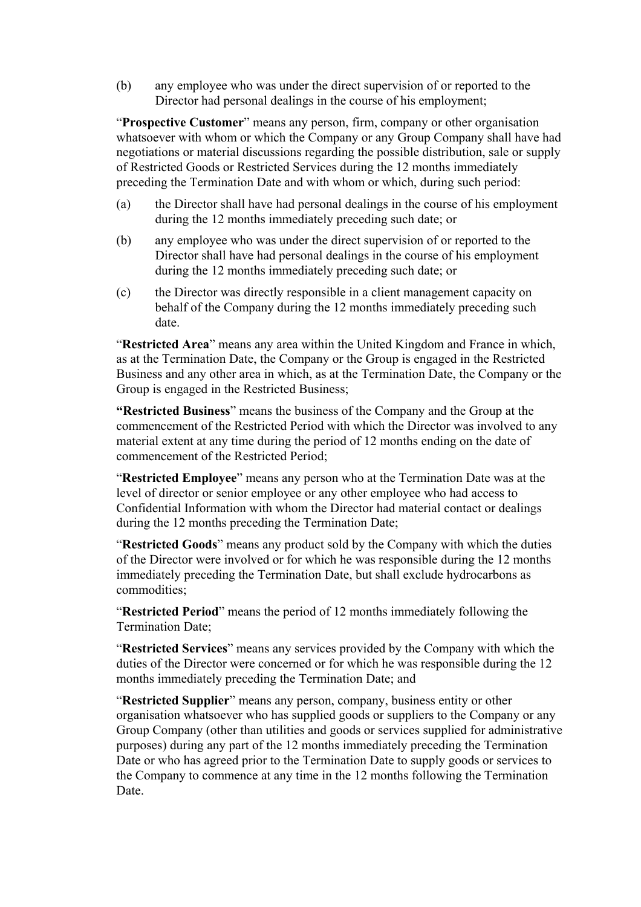(b) any employee who was under the direct supervision of or reported to the Director had personal dealings in the course of his employment;

"**Prospective Customer**" means any person, firm, company or other organisation whatsoever with whom or which the Company or any Group Company shall have had negotiations or material discussions regarding the possible distribution, sale or supply of Restricted Goods or Restricted Services during the 12 months immediately preceding the Termination Date and with whom or which, during such period:

- (a) the Director shall have had personal dealings in the course of his employment during the 12 months immediately preceding such date; or
- (b) any employee who was under the direct supervision of or reported to the Director shall have had personal dealings in the course of his employment during the 12 months immediately preceding such date; or
- (c) the Director was directly responsible in a client management capacity on behalf of the Company during the 12 months immediately preceding such date.

"**Restricted Area**" means any area within the United Kingdom and France in which, as at the Termination Date, the Company or the Group is engaged in the Restricted Business and any other area in which, as at the Termination Date, the Company or the Group is engaged in the Restricted Business;

**"Restricted Business**" means the business of the Company and the Group at the commencement of the Restricted Period with which the Director was involved to any material extent at any time during the period of 12 months ending on the date of commencement of the Restricted Period;

"**Restricted Employee**" means any person who at the Termination Date was at the level of director or senior employee or any other employee who had access to Confidential Information with whom the Director had material contact or dealings during the 12 months preceding the Termination Date;

"**Restricted Goods**" means any product sold by the Company with which the duties of the Director were involved or for which he was responsible during the 12 months immediately preceding the Termination Date, but shall exclude hydrocarbons as commodities;

"**Restricted Period**" means the period of 12 months immediately following the Termination Date;

"**Restricted Services**" means any services provided by the Company with which the duties of the Director were concerned or for which he was responsible during the 12 months immediately preceding the Termination Date; and

"**Restricted Supplier**" means any person, company, business entity or other organisation whatsoever who has supplied goods or suppliers to the Company or any Group Company (other than utilities and goods or services supplied for administrative purposes) during any part of the 12 months immediately preceding the Termination Date or who has agreed prior to the Termination Date to supply goods or services to the Company to commence at any time in the 12 months following the Termination Date.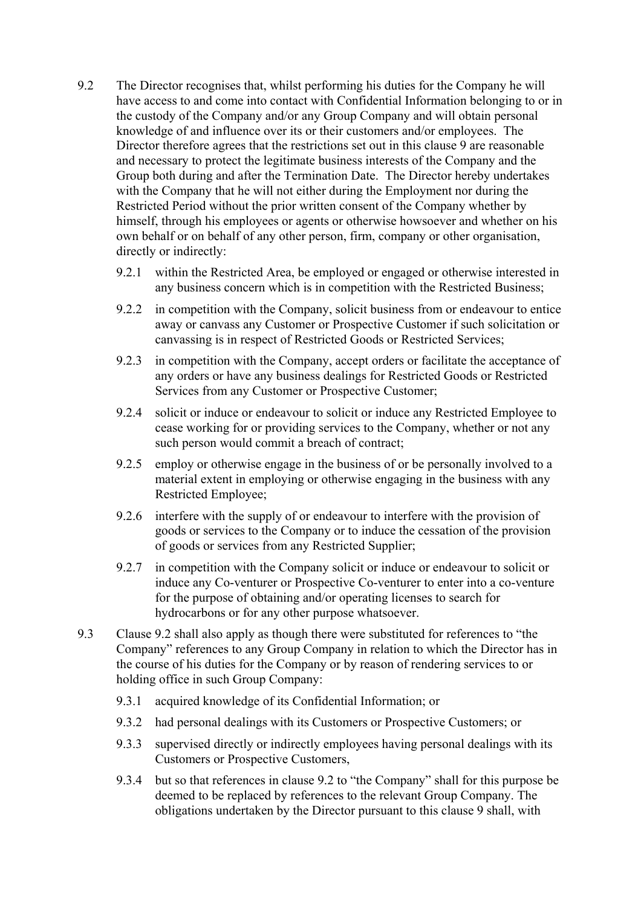- 9.2 The Director recognises that, whilst performing his duties for the Company he will have access to and come into contact with Confidential Information belonging to or in the custody of the Company and/or any Group Company and will obtain personal knowledge of and influence over its or their customers and/or employees. The Director therefore agrees that the restrictions set out in this clause 9 are reasonable and necessary to protect the legitimate business interests of the Company and the Group both during and after the Termination Date. The Director hereby undertakes with the Company that he will not either during the Employment nor during the Restricted Period without the prior written consent of the Company whether by himself, through his employees or agents or otherwise howsoever and whether on his own behalf or on behalf of any other person, firm, company or other organisation, directly or indirectly:
	- 9.2.1 within the Restricted Area, be employed or engaged or otherwise interested in any business concern which is in competition with the Restricted Business;
	- 9.2.2 in competition with the Company, solicit business from or endeavour to entice away or canvass any Customer or Prospective Customer if such solicitation or canvassing is in respect of Restricted Goods or Restricted Services;
	- 9.2.3 in competition with the Company, accept orders or facilitate the acceptance of any orders or have any business dealings for Restricted Goods or Restricted Services from any Customer or Prospective Customer;
	- 9.2.4 solicit or induce or endeavour to solicit or induce any Restricted Employee to cease working for or providing services to the Company, whether or not any such person would commit a breach of contract;
	- 9.2.5 employ or otherwise engage in the business of or be personally involved to a material extent in employing or otherwise engaging in the business with any Restricted Employee;
	- 9.2.6 interfere with the supply of or endeavour to interfere with the provision of goods or services to the Company or to induce the cessation of the provision of goods or services from any Restricted Supplier;
	- 9.2.7 in competition with the Company solicit or induce or endeavour to solicit or induce any Co-venturer or Prospective Co-venturer to enter into a co-venture for the purpose of obtaining and/or operating licenses to search for hydrocarbons or for any other purpose whatsoever.
- 9.3 Clause 9.2 shall also apply as though there were substituted for references to "the Company" references to any Group Company in relation to which the Director has in the course of his duties for the Company or by reason of rendering services to or holding office in such Group Company:
	- 9.3.1 acquired knowledge of its Confidential Information; or
	- 9.3.2 had personal dealings with its Customers or Prospective Customers; or
	- 9.3.3 supervised directly or indirectly employees having personal dealings with its Customers or Prospective Customers,
	- 9.3.4 but so that references in clause 9.2 to "the Company" shall for this purpose be deemed to be replaced by references to the relevant Group Company. The obligations undertaken by the Director pursuant to this clause 9 shall, with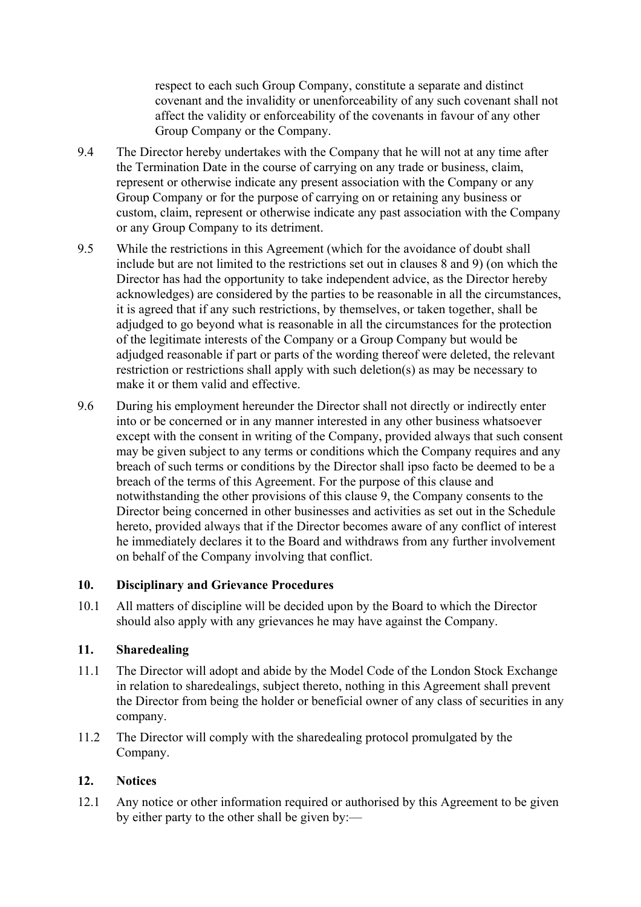respect to each such Group Company, constitute a separate and distinct covenant and the invalidity or unenforceability of any such covenant shall not affect the validity or enforceability of the covenants in favour of any other Group Company or the Company.

- 9.4 The Director hereby undertakes with the Company that he will not at any time after the Termination Date in the course of carrying on any trade or business, claim, represent or otherwise indicate any present association with the Company or any Group Company or for the purpose of carrying on or retaining any business or custom, claim, represent or otherwise indicate any past association with the Company or any Group Company to its detriment.
- 9.5 While the restrictions in this Agreement (which for the avoidance of doubt shall include but are not limited to the restrictions set out in clauses 8 and 9) (on which the Director has had the opportunity to take independent advice, as the Director hereby acknowledges) are considered by the parties to be reasonable in all the circumstances, it is agreed that if any such restrictions, by themselves, or taken together, shall be adjudged to go beyond what is reasonable in all the circumstances for the protection of the legitimate interests of the Company or a Group Company but would be adjudged reasonable if part or parts of the wording thereof were deleted, the relevant restriction or restrictions shall apply with such deletion(s) as may be necessary to make it or them valid and effective.
- 9.6 During his employment hereunder the Director shall not directly or indirectly enter into or be concerned or in any manner interested in any other business whatsoever except with the consent in writing of the Company, provided always that such consent may be given subject to any terms or conditions which the Company requires and any breach of such terms or conditions by the Director shall ipso facto be deemed to be a breach of the terms of this Agreement. For the purpose of this clause and notwithstanding the other provisions of this clause 9, the Company consents to the Director being concerned in other businesses and activities as set out in the Schedule hereto, provided always that if the Director becomes aware of any conflict of interest he immediately declares it to the Board and withdraws from any further involvement on behalf of the Company involving that conflict.

#### **10. Disciplinary and Grievance Procedures**

10.1 All matters of discipline will be decided upon by the Board to which the Director should also apply with any grievances he may have against the Company.

#### **11. Sharedealing**

- 11.1 The Director will adopt and abide by the Model Code of the London Stock Exchange in relation to sharedealings, subject thereto, nothing in this Agreement shall prevent the Director from being the holder or beneficial owner of any class of securities in any company.
- 11.2 The Director will comply with the sharedealing protocol promulgated by the Company.

### **12. Notices**

12.1 Any notice or other information required or authorised by this Agreement to be given by either party to the other shall be given by:—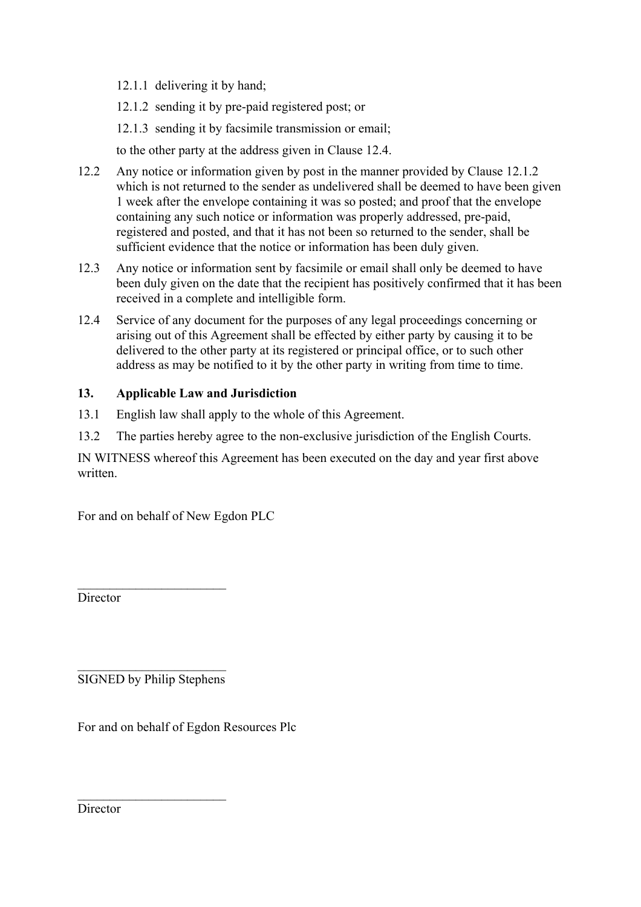12.1.1 delivering it by hand;

12.1.2 sending it by pre-paid registered post; or

12.1.3 sending it by facsimile transmission or email;

to the other party at the address given in Clause 12.4.

- 12.2 Any notice or information given by post in the manner provided by Clause 12.1.2 which is not returned to the sender as undelivered shall be deemed to have been given 1 week after the envelope containing it was so posted; and proof that the envelope containing any such notice or information was properly addressed, pre-paid, registered and posted, and that it has not been so returned to the sender, shall be sufficient evidence that the notice or information has been duly given.
- 12.3 Any notice or information sent by facsimile or email shall only be deemed to have been duly given on the date that the recipient has positively confirmed that it has been received in a complete and intelligible form.
- 12.4 Service of any document for the purposes of any legal proceedings concerning or arising out of this Agreement shall be effected by either party by causing it to be delivered to the other party at its registered or principal office, or to such other address as may be notified to it by the other party in writing from time to time.

## **13. Applicable Law and Jurisdiction**

- 13.1 English law shall apply to the whole of this Agreement.
- 13.2 The parties hereby agree to the non-exclusive jurisdiction of the English Courts.

IN WITNESS whereof this Agreement has been executed on the day and year first above written.

For and on behalf of New Egdon PLC

**Director** 

 $\mathcal{L}_\text{max}$  , where  $\mathcal{L}_\text{max}$  , we have the set of  $\mathcal{L}_\text{max}$ SIGNED by Philip Stephens

 $\mathcal{L}_\text{max}$  , where  $\mathcal{L}_\text{max}$  , we have the set of  $\mathcal{L}_\text{max}$ 

 $\mathcal{L}_\text{max}$  , where  $\mathcal{L}_\text{max}$  , we have the set of  $\mathcal{L}_\text{max}$ 

For and on behalf of Egdon Resources Plc

**Director**